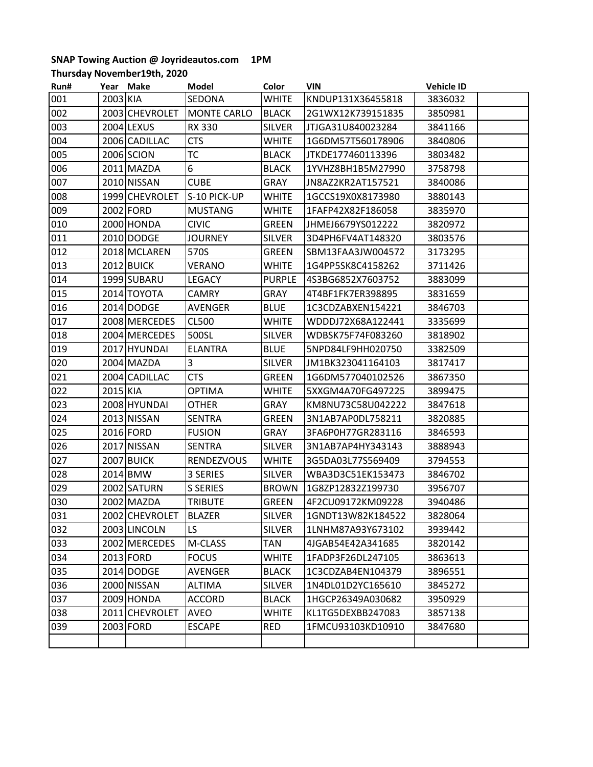## **SNAP Towing Auction @ Joyrideautos.com 1PM**

**Thursday November19th, 2020**

| Run# | Year Make |                       | Model              | Color         | <b>VIN</b>        | <b>Vehicle ID</b> |
|------|-----------|-----------------------|--------------------|---------------|-------------------|-------------------|
| 001  | 2003 KIA  |                       | SEDONA             | <b>WHITE</b>  | KNDUP131X36455818 | 3836032           |
| 002  |           | 2003 CHEVROLET        | <b>MONTE CARLO</b> | <b>BLACK</b>  | 2G1WX12K739151835 | 3850981           |
| 003  |           | 2004 LEXUS            | <b>RX 330</b>      | <b>SILVER</b> | JTJGA31U840023284 | 3841166           |
| 004  |           | 2006 CADILLAC         | <b>CTS</b>         | <b>WHITE</b>  | 1G6DM57T560178906 | 3840806           |
| 005  |           | 2006 SCION            | <b>TC</b>          | <b>BLACK</b>  | JTKDE177460113396 | 3803482           |
| 006  |           | 2011 MAZDA            | 6                  | <b>BLACK</b>  | 1YVHZ8BH1B5M27990 | 3758798           |
| 007  |           | 2010 NISSAN           | <b>CUBE</b>        | <b>GRAY</b>   | JN8AZ2KR2AT157521 | 3840086           |
| 008  |           | 1999 CHEVROLET        | S-10 PICK-UP       | <b>WHITE</b>  | 1GCCS19X0X8173980 | 3880143           |
| 009  |           | 2002 FORD             | <b>MUSTANG</b>     | <b>WHITE</b>  | 1FAFP42X82F186058 | 3835970           |
| 010  |           | 2000 HONDA            | <b>CIVIC</b>       | <b>GREEN</b>  | JHMEJ6679YS012222 | 3820972           |
| 011  |           | 2010 DODGE            | <b>JOURNEY</b>     | <b>SILVER</b> | 3D4PH6FV4AT148320 | 3803576           |
| 012  |           | 2018 MCLAREN          | 570S               | <b>GREEN</b>  | SBM13FAA3JW004572 | 3173295           |
| 013  |           | 2012 BUICK            | <b>VERANO</b>      | <b>WHITE</b>  | 1G4PP5SK8C4158262 | 3711426           |
| 014  |           | 1999 SUBARU           | <b>LEGACY</b>      | <b>PURPLE</b> | 4S3BG6852X7603752 | 3883099           |
| 015  |           | 2014 TOYOTA           | <b>CAMRY</b>       | GRAY          | 4T4BF1FK7ER398895 | 3831659           |
| 016  |           | 2014 DODGE            | <b>AVENGER</b>     | <b>BLUE</b>   | 1C3CDZABXEN154221 | 3846703           |
| 017  |           | 2008 MERCEDES         | <b>CL500</b>       | <b>WHITE</b>  | WDDDJ72X68A122441 | 3335699           |
| 018  |           | 2004 MERCEDES         | 500SL              | <b>SILVER</b> | WDBSK75F74F083260 | 3818902           |
| 019  |           | 2017 HYUNDAI          | <b>ELANTRA</b>     | <b>BLUE</b>   | 5NPD84LF9HH020750 | 3382509           |
| 020  |           | 2004 MAZDA            | 3                  | <b>SILVER</b> | JM1BK323041164103 | 3817417           |
| 021  |           | 2004 CADILLAC         | <b>CTS</b>         | <b>GREEN</b>  | 1G6DM577040102526 | 3867350           |
| 022  | 2015 KIA  |                       | <b>OPTIMA</b>      | <b>WHITE</b>  | 5XXGM4A70FG497225 | 3899475           |
| 023  |           | 2008 HYUNDAI          | <b>OTHER</b>       | <b>GRAY</b>   | KM8NU73C58U042222 | 3847618           |
| 024  |           | 2013 NISSAN           | <b>SENTRA</b>      | GREEN         | 3N1AB7AP0DL758211 | 3820885           |
| 025  |           | 2016 FORD             | <b>FUSION</b>      | GRAY          | 3FA6P0H77GR283116 | 3846593           |
| 026  |           | 2017 NISSAN           | <b>SENTRA</b>      | <b>SILVER</b> | 3N1AB7AP4HY343143 | 3888943           |
| 027  |           | <b>2007 BUICK</b>     | <b>RENDEZVOUS</b>  | <b>WHITE</b>  | 3G5DA03L77S569409 | 3794553           |
| 028  |           | 2014 BMW              | 3 SERIES           | <b>SILVER</b> | WBA3D3C51EK153473 | 3846702           |
| 029  |           | 2002 SATURN           | <b>S SERIES</b>    | <b>BROWN</b>  | 1G8ZP12832Z199730 | 3956707           |
| 030  |           | 2002 MAZDA            | <b>TRIBUTE</b>     | GREEN         | 4F2CU09172KM09228 | 3940486           |
| 031  |           | 2002 CHEVROLET BLAZER |                    | SILVER        | 1GNDT13W82K184522 | 3828064           |
| 032  |           | 2003 LINCOLN          | LS.                | <b>SILVER</b> | 1LNHM87A93Y673102 | 3939442           |
| 033  |           | 2002 MERCEDES         | M-CLASS            | <b>TAN</b>    | 4JGAB54E42A341685 | 3820142           |
| 034  |           | 2013 FORD             | <b>FOCUS</b>       | WHITE         | 1FADP3F26DL247105 | 3863613           |
| 035  |           | 2014 DODGE            | AVENGER            | BLACK         | 1C3CDZAB4EN104379 | 3896551           |
| 036  |           | 2000 NISSAN           | ALTIMA             | <b>SILVER</b> | 1N4DL01D2YC165610 | 3845272           |
| 037  |           | 2009 HONDA            | ACCORD             | <b>BLACK</b>  | 1HGCP26349A030682 | 3950929           |
| 038  |           | 2011 CHEVROLET        | <b>AVEO</b>        | <b>WHITE</b>  | KL1TG5DEXBB247083 | 3857138           |
| 039  |           | 2003 FORD             | <b>ESCAPE</b>      | RED           | 1FMCU93103KD10910 | 3847680           |
|      |           |                       |                    |               |                   |                   |